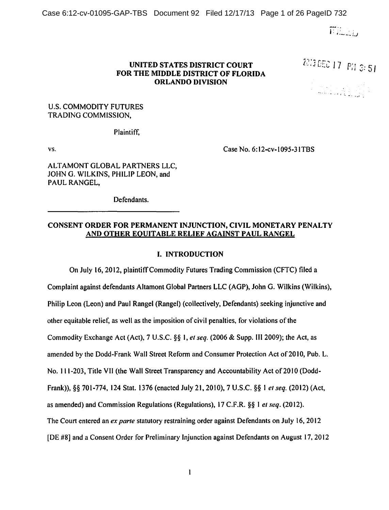Case 6:12-cv-01095-GAP-TBS Document 92 Filed 12/17/13 Page 1 of 26 PageID 732

 $\overline{r}$  it is in  $\overline{r}$ 

### UNITED STATES DISTRICT COURT FOR THE MIDDLE DISTRICT OF FLORIDA ORLANDO DIVISION

2013 **DEC 17 PM** 3:51

والي. بالأبية المعنى و

# U.S. COMMODITY FUTURES TRADING COMMISSION,

Plaintiff,

vs.

Case No. 6:12-cv-1095-31TBS

ALTAMONT GLOBAL PARTNERS LLC, JOHN G. WILKINS, PHILIP LEON, and PAUL RANGEL,

Defendants.

# CONSENT ORDER FOR PERMANENT INJUNCTION, CIVIL MONETARY PENALTY AND OTHER EQUITABLE RELIEF AGAINST PAUL RANGEL

### I. INTRODUCTION

On July 16, 2012, plaintiffCommodity Futures Trading Commission (CFTC) filed a Complaint against defendants Altamont Global Partners LLC (AGP), John G. Wilkins (Wilkins), Philip Leon (Leon) and Paul Rangel (Rangel) (collectively, Defendants) seeking injunctive and other equitable relief, as well as the imposition of civil penalties, for violations of the Commodity Exchange Act (Act), 7 U.S.C. §§ I, *et seq.* (2006 & Supp. III 2009); the Act, as amended by the Dodd-Frank Wall Street Reform and Consumer Protection Act of 2010, Pub. L. No. 111-203, Title VII (the Wall Street Transparency and Accountability Act of 2010 (Dodd-Frank)),§§ 701-774, 124 Stat. 1376 (enacted July 21, 2010), 7 U.S.C. §§ I *et seq.* (2012) (Act, as amended) and Commission Regulations (Regulations), 17 C.F.R. §§I *et seq.* (2012). The Court entered an *ex parte* statutory restraining order against Defendants on July 16, 2012 [DE #8] and a Consent Order for Preliminary Injunction against Defendants on August 17, 2012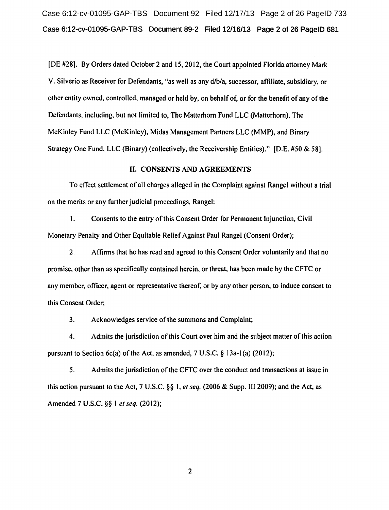Case 6:12-cv-01095-GAP-TBS Document 92 Filed 12/17/13 Page 2 of 26 PageID 733 Case 6:12-cv-01095-GAP-TBS Document 89-2 Filed 12/16/13 Page 2 of 26 PageiD 681

[DE #28]. By Orders dated October 2 and 15, 2012, the Court appointed Florida attorney Mark V. Silverio as Receiver for Defendants, "as well as any d/b/a, successor, affiliate, subsidiary, or other entity owned, controlled, managed or held by, on behalf of, or for the benefit of any of the Defendants, including, but not limited to, The Matterhorn Fund LLC (Matterhorn), The McKinley Fund LLC (McKinley), Midas Management Partners LLC (MMP), and Binary Strategy One Fund, LLC (Binary) (collectively, the Receivership Entities)." [D.E. #50 & 58].

## II. CONSENTS AND AGREEMENTS

To effect settlement of all charges alleged in the Complaint against Rangel without a trial on the merits or any further judicial proceedings, Rangel:

1. Consents to the entry of this Consent Order for Permanent Injunction, Civil Monetary Penalty and Other Equitable Relief Against Paul Rangel (Consent Order);

2. Affirms that he has read and agreed to this Consent Order voluntarily and that no promise, other than as specifically contained herein, or threat, has been made by the CFTC or any member, officer, agent or representative thereof, or by any other person, to induce consent to this Consent Order;

3. Acknowledges service of the summons and Complaint;

4. Admits the jurisdiction of this Court over him and the subject matter of this action pursuant to Section 6c(a) of the Act, as amended,  $7 \text{ U.S.C. } §$  13a-1(a) (2012);

5. Admits the jurisdiction of the CFTC over the conduct and transactions at issue in this action pursuant to the Act, 7 U.S.C. §§ I, *et seq.* (2006 & Supp. III 2009); and the Act, as Amended 7 U.S.C. §§ I *et seq.* (2012);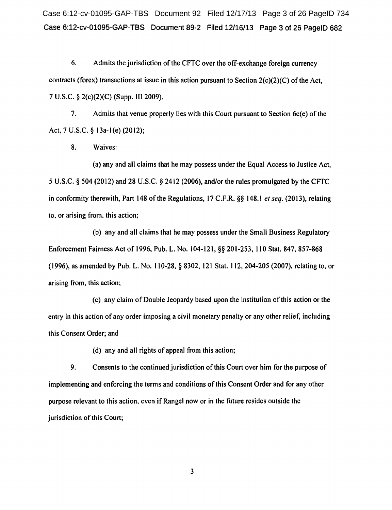Case 6:12-cv-01095-GAP-TBS Document 92 Filed 12/17/13 Page 3 of 26 PageID 734 Case 6:12-cv-01095-GAP-TBS Document 89-2 Filed 12/16/13 Page 3 of 26 PageiD 682

6. Admits the jurisdiction of the CFTC over the off-exchange foreign currency contracts (forex) transactions at issue in this action pursuant to Section 2(c)(2)(C) of the Act, 7 U.S.C. § 2(c)(2)(C) (Supp. Ill 2009).

7. Admits that venue properly lies with this Court pursuant to Section 6c(e) of the Act, 7 U.S.C. § l3a-l(e) (2012);

8. Waives:

(a) any and all claims that he may possess under the Equal Access to Justice Act, 5 U.S.C. § 504 (2012) and 28 U.S.C. § 2412 (2006), and/or the rules promulgated by the CFTC in conformity therewith, Part 148 of the Regulations, 17 C.F.R. §§ 148.1 *et seq.* (2013), relating to, or arising from, this action;

(b) any and all claims that he may possess under the Small Business Regulatory Enforcement Fairness Act of 1996, Pub. L. No. 104-121, §§ 201-253, 110 Stat. 847,857-868 ( 1996), as amended by Pub. L. No. II 0-28, § 8302, 121 Stat. 112, 204-205 (2007), relating to, or arising from, this action;

(c) any claim of Double Jeopardy based upon the institution of this action or the entry in this action of any order imposing a civil monetary penalty or any other relief, including this Consent Order; and

(d) any and all rights of appeal from this action;

9. Consents to the continued jurisdiction of this Court over him for the purpose of implementing and enforcing the terms and conditions of this Consent Order and for any other purpose relevant to this action, even if Rangel now or in the future resides outside the jurisdiction of this Court;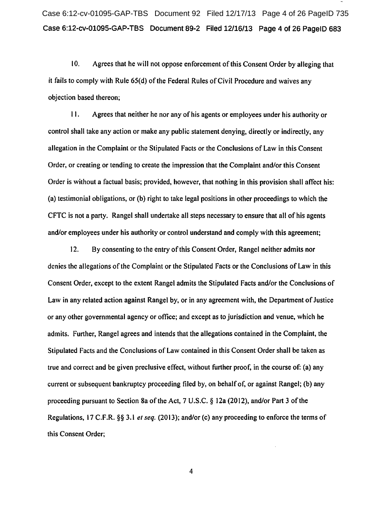Case 6:12-cv-01095-GAP-TBS Document 92 Filed 12/17/13 Page 4 of 26 PageID 735 Case 6:12-cv-01095-GAP-TBS Document 89-2 Filed 12/16/13 Page 4 of 26 PageiD 683

10. Agrees that he will not oppose enforcement of this Consent Order by alleging that it fails to comply with Rule 65(d) of the Federal Rules of Civil Procedure and waives any objection based thereon;

11. Agrees that neither he nor any of his agents or employees under his authority or control shall take any action or make any public statement denying, directly or indirectly, any allegation in the Complaint or the Stipulated Facts or the Conclusions of Law in this Consent Order, or creating or tending to create the impression that the Complaint and/or this Consent Order is without a factual basis; provided, however, that nothing in this provision shall affect his: (a) testimonial obligations, or (b) right to take legal positions in other proceedings to which the CFTC is not a party. Rangel shall undertake all steps necessary to ensure that all of his agents and/or employees under his authority or control understand and comply with this agreement;

12. By consenting to the entry of this Consent Order, Rangel neither admits nor denies the allegations of the Complaint or the Stipulated Facts or the Conclusions of Law in this Consent Order, except to the extent Rangel admits the Stipulated Facts and/or the Conclusions of Law in any related action against Rangel by, or in any agreement with, the Department of Justice or any other governmental agency or office; and except as to jurisdiction and venue, which he admits. Further, Rangel agrees and intends that the allegations contained in the Complaint, the Stipulated Facts and the Conclusions of Law contained in this Consent Order shall be taken as true and correct and be given preclusive effect, without further proof, in the course of: (a) any current or subsequent bankruptcy proceeding filed by, on behalf of, or against Rangel; (b) any proceeding pursuant to Section 8a of the Act, 7 U.S.C. § 12a (2012), and/or Part 3 ofthe Regulations, 17 C.F.R. §§ 3.1 *et seq.* (2013); and/or (c) any proceeding to enforce the terms of this Consent Order;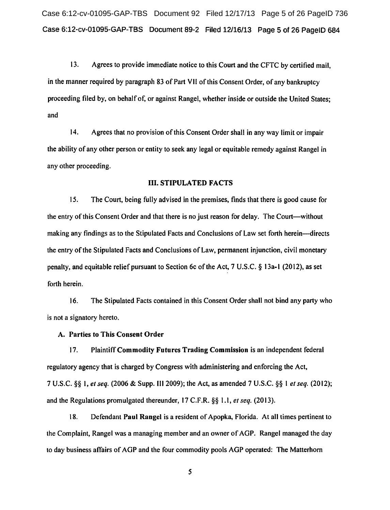Case 6:12-cv-01095-GAP-TBS Document 92 Filed 12/17/13 Page 5 of 26 PageID 736 Case 6:12-cv-01095-GAP-TBS Document 89-2 Filed 12116/13 Page 5 of 26 PageiD 684

13. Agrees to provide immediate notice to this Court and the CFTC by certified mail, in the manner required by paragraph 83 of Part Vll ofthis Consent Order, of any bankruptcy proceeding filed by, on behalf of, or against Rangel, whether inside or outside the United States; and

14. Agrees that no provision of this Consent Order shall in any way limit or impair the ability of any other person or entity to seek any legal or equitable remedy against Rangel in any other proceeding.

### III. STIPULATED FACTS

15. The Court, being fully advised in the premises, finds that there is good cause for the entry of this Consent Order and that there is no just reason for delay. The Court-without making any findings as to the Stipulated Facts and Conclusions of Law set forth herein—directs the entry of the Stipulated Facts and Conclusions of Law, permanent injunction, civil monetary penalty, and equitable relief pursuant to Section 6c ofthe Act, 7 U.S.C. § 13a-l (2012), as set forth herein.

16. The Stipulated Facts contained in this Consent Order shall not bind any party who is not a signatory hereto.

### A. Parties to This Consent Order

17. Plaintiff Commodity Futures Trading Commission is an independent federal regulatory agency that is charged by Congress with administering and enforcing the Act, 7 U.S.C. §§ I, *et seq.* (2006 & Supp. Ill 2009); the Act, as amended 7 U.S.C. §§ I *et seq.* (2012); and the Regulations promulgated thereunder, 17 C.F.R. §§ l.l, *et seq.* (2013).

18. Defendant Paul Rangel is a resident of Apopka, Florida. At all times pertinent to the Complaint, Rangel was a managing member and an owner of AGP. Rangel managed the day to day business affairs of AGP and the four commodity pools AGP operated: The Matterhorn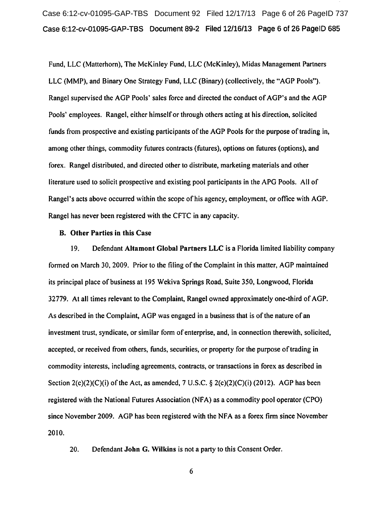Case 6:12-cv-01095-GAP-TBS Document 92 Filed 12/17/13 Page 6 of 26 PageID 737 Case 6:12-cv-01095-GAP-TBS Document 89-2 Filed 12/16/13 Page 6 of 26 PageiD 685

Fund, LLC (Matterhorn), The McKinley Fund, LLC (McKinley), Midas Management Partners LLC (MMP), and Binary One Strategy Fund, LLC (Binary) (collectively, the "AGP Pools"). Rangel supervised the AGP Pools' sales force and directed the conduct of AGP's and the AGP Pools' employees. Rangel, either himself or through others acting at his direction, solicited funds from prospective and existing participants of the AGP Pools for the purpose of trading in, among other things, commodity futures contracts (futures), options on futures (options), and forex. Rangel distributed, and directed other to distribute, marketing materials and other literature used to solicit prospective and existing pool participants in the APG Pools. All of Rangel's acts above occurred within the scope of his agency, employment, or office with AGP. Rangel has never been registered with the CFTC in any capacity.

#### B. Other Parties in this Case

19. Defendant Altamont Global Partners LLC is a Florida limited liability company formed on March 30, 2009. Prior to the filing of the Complaint in this matter, AGP maintained its principal place of business at 195 Wekiva Springs Road, Suite 350, Longwood, Florida 32779. At all times relevant to the Complaint, Rangel owned approximately one-third of AGP. As described in the Complaint, AGP was engaged in a business that is of the nature of an investment trust, syndicate, or similar form of enterprise, and, in connection therewith, solicited, accepted, or received from others, funds, securities, or property for the purpose of trading in commodity interests, including agreements, contracts, or transactions in forex as described in Section  $2(c)(2)(C)(i)$  of the Act, as amended, 7 U.S.C. §  $2(c)(2)(C)(i)$  (2012). AGP has been registered with the National Futures Association (NF A) as a commodity pool operator (CPO) since November 2009. AGP has been registered with the NFA as a forex firm since November 2010.

20. Defendant John G. Wilkins is not a party to this Consent Order.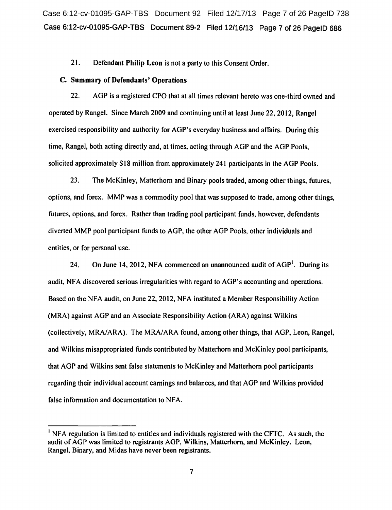Case 6:12-cv-01095-GAP-TBS Document 92 Filed 12/17/13 Page 7 of 26 PageID 738 Case 6:12-cv-01095-GAP-TBS Document 89-2 Filed 12/16/13 Page 7 of 26 PageiD 686

21. Defendant Philip Leon is not a party to this Consent Order.

#### C. Summary of Defendants' Operations

22. AGP is a registered CPO that at all times relevant hereto was one-third owned and operated by Rangel. Since March 2009 and continuing until at least June 22, 2012, Rangel exercised responsibility and authority for AGP's everyday business and affairs. During this time, Rangel, both acting directly and, at times, acting through AGP and the AGP Pools, solicited approximately \$18 million from approximately 241 participants in the AGP Pools.

23. The McKinley, Matterhorn and Binary pools traded, among other things, futures, options, and forex. MMP was a commodity pool that was supposed to trade, among other things, futures, options, and forex. Rather than trading pool participant funds, however, defendants diverted MMP pool participant funds to AGP, the other AGP Pools, other individuals and entities, or for personal use.

24. On June 14, 2012, NFA commenced an unannounced audit of  $AGP<sup>1</sup>$ . During its audit, NFA discovered serious irregularities with regard to AGP's accounting and operations. Based on the NFA audit, on June 22, 2012, NFA instituted a Member Responsibility Action (MRA) against AGP and an Associate Responsibility Action (ARA) against Wilkins (collectively, MRA/ARA). The MRA/ARA found, among other things, that AGP, Leon, Rangel, and Wilkins misappropriated funds contributed by Matterhorn and McKinley pool participants, that AGP and Wilkins sent false statements to McKinley and Matterhorn pool participants regarding their individual account earnings and balances, and that AGP and Wilkins provided false information and documentation to NFA.

<sup>&</sup>lt;sup>1</sup> NFA regulation is limited to entities and individuals registered with the CFTC. As such, the audit of AGP was limited to registrants AGP, Wilkins, Matterhorn, and McKinley. Leon, Rangel, Binary, and Midas have never been registrants.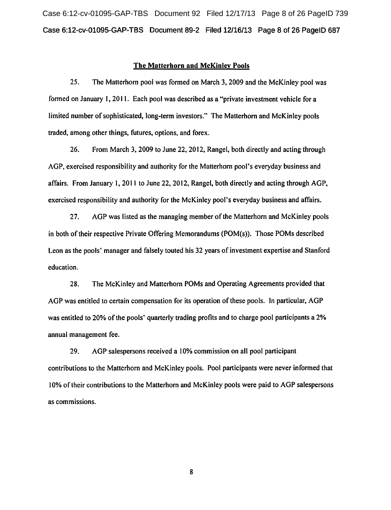Case 6:12-cv-01095-GAP-TBS Document 92 Filed 12/17/13 Page 8 of 26 PageID 739 Case 6:12-cv-01095-GAP-TBS Document 89-2 Filed 12/16/13 Page 8 of 26 PageiD 687

#### The Matterhorn and McKinley Pools

25. The Matterhorn pool was formed on March 3, 2009 and the McKinley pool was formed on January 1, 2011. Each pool was described as a "private investment vehicle for a limited number of sophisticated, long-term investors." The Matterhorn and McKinley pools traded, among other things, futures, options, and forex.

26. From March 3, 2009 to June 22, 2012, Rangel, both directly and acting through AGP, exercised responsibility and authority for the Matterhorn pool's everyday business and affairs. From January I, 2011 to June 22, 2012, Rangel, both directly and acting through AGP, exercised responsibility and authority for the McKinley pool's everyday business and affairs.

27. AGP was listed as the managing member of the Matterhorn and McKinley pools in both of their respective Private Offering Memorandums (POM(s)). Those POMs described Leon as the pools' manager and falsely touted his 32 years of investment expertise and Stanford education.

28. The McKinley and Matterhorn POMs and Operating Agreements provided that AGP was entitled to certain compensation for its operation of these pools. In particular, AGP was entitled to 20% of the pools' quarterly trading profits and to charge pool participants a 2% annual management fee.

29. AGP salespersons received a 10% commission on all pool participant contributions to the Matterhorn and McKinley pools. Pool participants were never informed that I 0% of their contributions to the Matterhorn and McKinley pools were paid to AGP salespersons as commissions.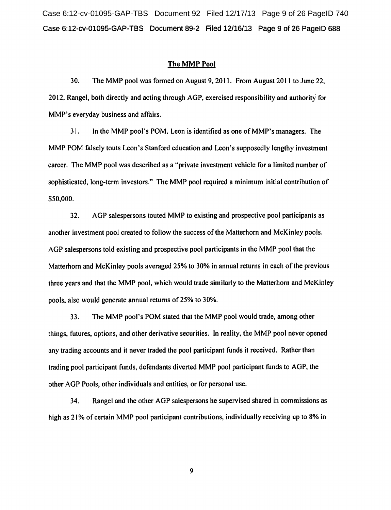Case 6:12-cv-01095-GAP-TBS Document 92 Filed 12/17/13 Page 9 of 26 PageID 740 Case 6:12-cv-01095-GAP-TBS Document 89-2 Filed 12/16/13 Page 9 of 26 PageiD 688

#### The MMP Pool

30. The MMP pool was formed on August 9, 2011. From August 2011 to June 22, 2012, Rangel, both directly and acting through AGP, exercised responsibility and authority for MMP's everyday business and affairs.

31. In the MMP pool's POM, Leon is identified as one ofMMP's managers. The MMP POM falsely touts Leon's Stanford education and Leon's supposedly lengthy investment career. The MMP pool was described as a "private investment vehicle for a limited number of sophisticated, long-term investors." The MMP pool required a minimum initial contribution of \$50,000.

32. AGP salespersons touted MMP to existing and prospective pool participants as another investment pool created to follow the success of the Matterhorn and McKinley pools. AGP salespersons told existing and prospective pool participants in the MMP pool that the Matterhorn and McKinley pools averaged 25% to 30% in annual returns in each of the previous three years and that the MMP pool, which would trade similarly to the Matterhorn and McKinley pools, also would generate annual returns of25% to 30%.

33. The MMP pool's POM stated that the MMP pool would trade, among other things, futures, options, and other derivative securities. In reality, the MMP pool never opened any trading accounts and it never traded the pool participant funds it received. Rather than trading pool participant funds, defendants diverted MMP pool participant funds to AGP, the other AGP Pools, other individuals and entities, or for personal use.

34. Rangel and the other AGP salespersons he supervised shared in commissions as high as 21% of certain MMP pool participant contributions, individually receiving up to 8% in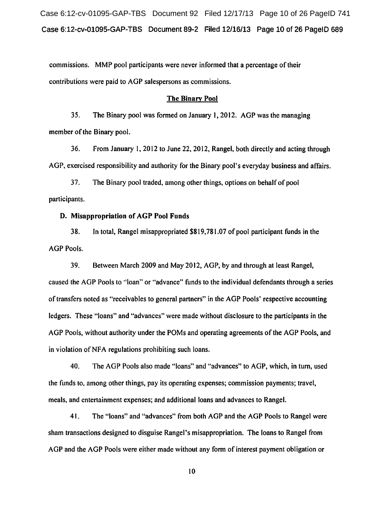Case 6:12-cv-01095-GAP-TBS Document 92 Filed 12/17/13 Page 10 of 26 PageID 741 Case 6:12-cv-01095-GAP-TBS Document 89-2 Filed 12/16/13 Page 10 of 26 PageiD 689

commissions. MMP pool participants were never informed that a percentage of their contributions were paid to AGP salespersons as commissions.

#### The Binary Pool

35. The Binary pool was formed on January 1, 2012. AGP was the managing member of the Binary pool.

36. From January 1, 2012 to June 22, 2012, Rangel, both directly and acting through AGP, exercised responsibility and authority for the Binary pool's everyday business and affairs.

37. The Binary pool traded, among other things, options on behalf of pool participants.

## D. Misappropriation of AGP Pool Funds

38. In total, Rangel misappropriated \$819,781.07 of pool participant funds in the AGP Pools.

39. Between March 2009 and May 2012, AGP, by and through at least Rangel, caused the AGP Pools to ''loan" or "advance" funds to the individual defendants through a series of transfers noted as "receivables to general partners" in the AGP Pools' respective accounting ledgers. These "loans" and "advances" were made without disclosure to the participants in the AGP Pools, without authority under the POMs and operating agreements of the AGP Pools, and in violation of NFA regulations prohibiting such loans.

40. The AGP Pools also made "loans" and "advances" to AGP, which, in turn, used the funds to. among other things, pay its operating expenses; commission payments; travel, meals, and entertainment expenses; and additional loans and advances to Rangel.

41. The "loans" and "advances" from both AGP and the AGP Pools to Rangel were sham transactions designed to disguise Rangel's misappropriation. The loans to Rangel from AGP and the AGP Pools were either made without any form of interest payment obligation or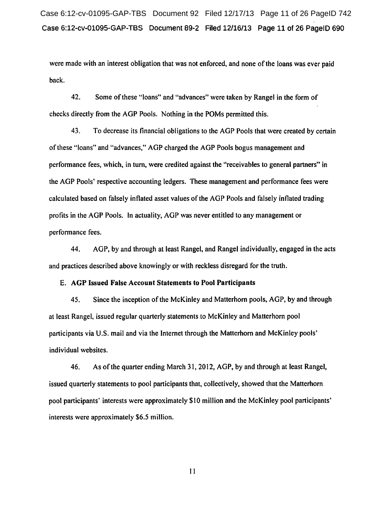Case 6:12-cv-01095-GAP-TBS Document 92 Filed 12/17/13 Page 11 of 26 PageID 742 Case 6:12-cv-01095-GAP-TBS Document 89-2 Filed 12/16/13 Page 11 of 26 PageiD 690

were made with an interest obligation that was not enforced, and none of the loans was ever paid back.

42. Some of these "loans" and "advances" were taken by Rangel in the form of checks directly from the AGP Pools. Nothing in the POMs permitted this.

43. To decrease its financial obligations to the AGP Pools that were created by certain of these "loans" and "advances," AGP charged the AGP Pools bogus management and performance fees, which, in tum, were credited against the "receivables to general partners" in the AGP Pools' respective accounting ledgers. These management and performance fees were calculated based on falsely inflated asset values of the AGP Pools and falsely inflated trading profits in the AGP Pools. In actuality, AGP was never entitled to any management or performance fees.

44. AGP, by and through at least Rangel, and Rangel individually, engaged in the acts and practices described above knowingly or with reckless disregard for the truth.

#### E. AGP Issued False Account Statements to Pool Participants

45. Since the inception of the McKinley and Matterhorn pools, AGP, by and through at least Rangel, issued regular quarterly statements to McKinley and Matterhorn pool participants via U.S. mail and via the Internet through the Matterhorn and McKinley pools' individual websites.

46. As of the quarter ending March 31, 2012, AGP, by and through at least Rangel, issued quarterly statements to pool participants that, collectively, showed that the Matterhorn pool participants' interests were approximately \$10 million and the McKinley pool participants' interests were approximately \$6.5 million.

II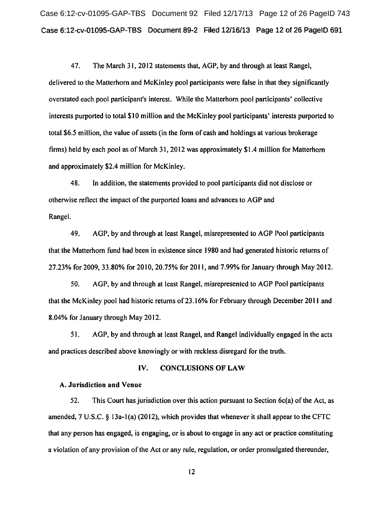Case 6:12-cv-01095-GAP-TBS Document 92 Filed 12/17/13 Page 12 of 26 PageID 743 Case 6:12-cv-01095-GAP-TBS Document 89-2 Filed 12116/13 Page 12 of 26 PageiD 691

47. The March 31, 2012 statements that, AGP, by and through at least Rangel, delivered to the Matterhorn and McKinley pool participants were false in that they significantly overstated each pool participant's interest. While the Matterhorn pool participants' collective interests purported to total \$10 million and the McKinley pool participants' interests purported to total \$6.5 million, the value of assets (in the form of cash and holdings at various brokerage firms) held by each pool as of March 31, 2012 was approximately \$1.4 million for Matterhorn and approximately \$2.4 million for McKinley.

48. In addition, the statements provided to pool participants did not disclose or otherwise reflect the impact of the purported loans and advances to AGP and Rangel.

49. AGP, by and through at least Rangel, misrepresented to AGP Pool participants that the Matterhorn fund had been in existence since 1980 and had generated historic returns of 27.23% for 2009, 33.80% for 2010,20.75% for 2011, and 7.99% for January through May 2012.

50. AGP, by and through at least Rangel, misrepresented to AGP Pool participants that the McKinley pool had historic returns of23.16% for February through December 2011 and 8.04% for January through May 2012.

51. AGP, by and through at least Rangel, and Rangel individually engaged in the acts and practices described above knowingly or with reckless disregard for the truth.

### IV. CONCLUSIONS OF LAW

#### A. Jurisdiction and Venue

52. This Court has jurisdiction over this action pursuant to Section 6c(a) of the Act, as amended, 7 U.S.C. § 13a-1(a) (2012), which provides that whenever it shall appear to the CFTC that any person has engaged, is engaging, or is about to engage in any act or practice constituting a violation of any provision of the Act or any rule, regulation, or order promulgated thereunder,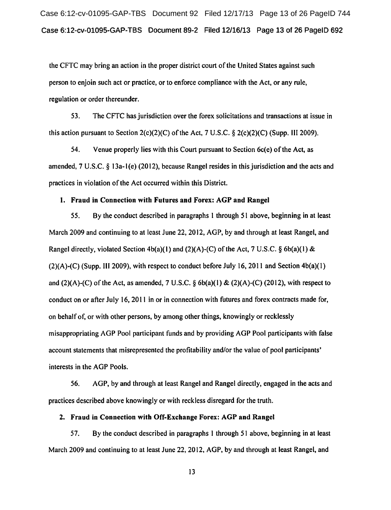Case 6:12-cv-01095-GAP-TBS Document 92 Filed 12/17/13 Page 13 of 26 PageID 744 Case 6:12-cv-01095-GAP-TBS Document 89-2 Filed 12/16/13 Page 13 of 26 PageiD 692

the CFTC may bring an action in the proper district court of the United States against such person to enjoin such act or practice, or to enforce compliance with the Act, or any rule, regulation or order thereunder.

53. The CFTC has jurisdiction over the forex solicitations and transactions at issue in this action pursuant to Section 2(c)(2)(C) of the Act, 7 U.S.C.  $\S$  2(c)(2)(C) (Supp. III 2009).

54. Venue properly lies with this Court pursuant to Section 6c(e) of the Act, as amended, 7 U.S.C. § 13a-l(e) (2012), because Rangel resides in this jurisdiction and the acts and practices in violation of the Act occurred within this District.

# 1. Fraud in Connection with Futures and Forex: AGP and Rangel

55. By the conduct described in paragraphs 1 through 51 above, beginning in at least March 2009 and continuing to at least June 22, 2012, AGP, by and through at least Rangel, and Rangel directly, violated Section  $4b(a)(1)$  and  $(2)(A)-(C)$  of the Act, 7 U.S.C. § 6b(a)(1) &  $(2)(A)-(C)$  (Supp. III 2009), with respect to conduct before July 16, 2011 and Section 4b(a)(1) and  $(2)(A)-(C)$  of the Act, as amended, 7 U.S.C.  $\S 6b(a)(1) \& (2)(A)-(C) (2012)$ , with respect to conduct on or after July 16, 2011 in or in connection with futures and forex contracts made for, on behalf of, or with other persons, by among other things, knowingly or recklessly misappropriating AGP Pool participant funds and by providing AGP Pool participants with false account statements that misrepresented the profitability and/or the value of pool participants' interests in the AGP Pools.

56. AGP, by and through at least Rangel and Rangel directly, engaged in the acts and practices described above knowingly or with reckless disregard for the truth.

## 2. Fraud in Connection with Off-Exchange Forex: AGP and Rangel

57. By the conduct described in paragraphs I through 51 above, beginning in at least March 2009 and continuing to at least June 22, 2012, AGP, by and through at least Rangel, and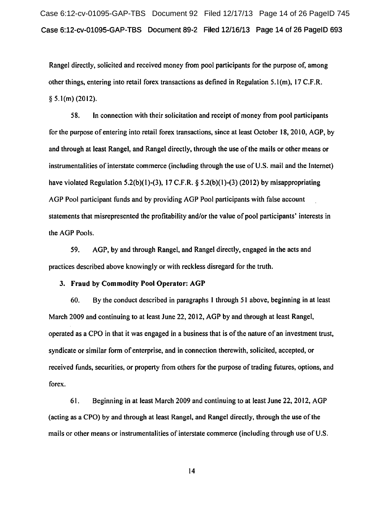Case 6:12-cv-01095-GAP-TBS Document 92 Filed 12/17/13 Page 14 of 26 PageID 745 Case 6:12-cv-01095-GAP-TBS Document 89-2 Filed 12/16/13 Page 14 of 26 PageiD 693

Rangel directly, solicited and received money from pool participants for the purpose of, among other things, entering into retail forex transactions as defined in Regulation 5.1 (m), 17 C.F.R.  $§ 5.1(m) (2012).$ 

58. In connection with their solicitation and receipt of money from pool participants for the purpose of entering into retail forex transactions, since at least October 18, 2010, AGP, by and through at least Rangel, and Rangel directly, through the use of the mails or other means or instrumentalities of interstate commerce (including through the use of U.S. mail and the Internet) have violated Regulation 5.2(b)(1)-(3), 17 C.F.R. § 5.2(b)(1)-(3) (2012) by misappropriating AGP Pool participant funds and by providing AGP Pool participants with false account statements that misrepresented the profitability and/or the value of pool participants' interests in the AGP Pools.

59. AGP, by and through Rangel, and Rangel directly, engaged in the acts and practices described above knowingly or with reckless disregard for the truth.

# 3. Fraud by Commodity Pool Operator: AGP

60. By the conduct described in paragraphs I through 51 above, beginning in at least March 2009 and continuing to at least June 22, 2012, AGP by and through at least Rangel, operated as a CPO in that it was engaged in a business that is ofthe nature of an investment trust, syndicate or similar form of enterprise, and in connection therewith, solicited, accepted, or received funds, securities, or property from others for the purpose of trading futures, options, and forex.

61. Beginning in at least March 2009 and continuing to at least June 22, 2012, AGP (acting as a CPO) by and through at least Rangel, and Rangel directly, through the use of the mails or other means or instrumentalities of interstate commerce (including through use of U.S.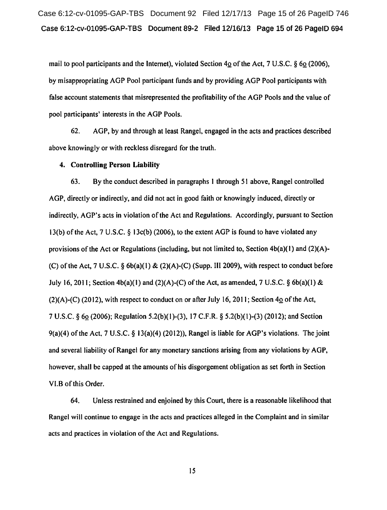Case 6:12-cv-01095-GAP-TBS Document 92 Filed 12/17/13 Page 15 of 26 PageID 746 Case 6:12-cv-01095-GAP-TBS Document 89-2 Filed 12/16/13 Page 15 of 26 PageiD 694

mail to pool participants and the Internet), violated Section  $4\Omega$  of the Act, 7 U.S.C. § 6 $\Omega$  (2006), by misappropriating AGP Pool participant funds and by providing AGP Pool participants with false account statements that misrepresented the profitability of the AGP Pools and the value of pool participants' interests in the AGP Pools.

62. AGP, by and through at least Rangel, engaged in the acts and practices described above knowingly or with reckless disregard for the truth.

#### 4. Controlling Person Liability

63. By the conduct described in paragraphs I through 51 above, Rangel controlled AGP, directly or indirectly, and did not act in good faith or knowingly induced, directly or indirectly, AGP's acts in violation of the Act and Regulations. Accordingly, pursuant to Section 13(b) of the Act, 7 U.S.C.  $\S$  13c(b) (2006), to the extent AGP is found to have violated any provisions of the Act or Regulations (including, but not limited to, Section  $4b(a)(1)$  and  $(2)(A)$ -(C) of the Act, 7 U.S.C.  $\S$  6b(a)(1) & (2)(A)-(C) (Supp. III 2009), with respect to conduct before July 16, 2011; Section 4b(a)(1) and (2)(A)-(C) of the Act, as amended, 7 U.S.C. § 6b(a)(1) & (2)(A)-(C) (2012), with respect to conduct on or after July 16, 2011; Section  $4\Omega$  of the Act, 7 U.S.C. § 6Q (2006); Regulation 5.2(b)(l)-(3), 17 C.F.R. § 5.2(b)(l)-(3) (2012); and Section  $9(a)(4)$  of the Act, 7 U.S.C. § 13(a)(4) (2012)), Rangel is liable for AGP's violations. The joint and severa1liability of Rangel for any monetary sanctions arising from any violations by AGP, however, shall be capped at the amounts of his disgorgement obligation as set forth in Section VI.B of this Order.

64. Unless restrained and enjoined by this Court, there is a reasonable likelihood that Rangel will continue to engage in the acts and practices alleged in the Complaint and in similar acts and practices in violation of the Act and Regulations.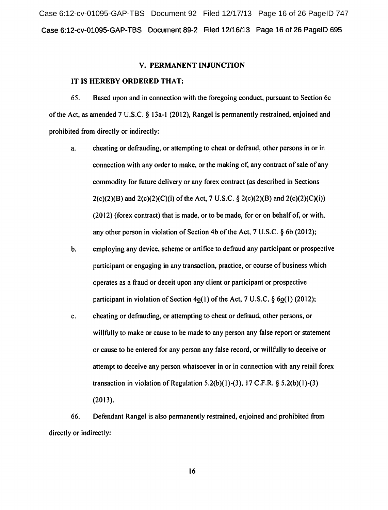Case 6:12-cv-01095-GAP-TBS Document 92 Filed 12/17/13 Page 16 of 26 PageID 747 Case 6:12-cv-01095-GAP-TBS Document 89-2 Filed 12/16/13 Page 16 of 26 PageiD 695

#### V. PERMANENT INJUNCTION

### IT IS HEREBY ORDERED THAT:

65. Based upon and in connection with the foregoing conduct, pursuant to Section 6c ofthe Act, as amended 7 U.S.C. § I3a-I (20I2), Rangel is permanently restrained, enjoined and prohibited from directly or indirectly:

- a. cheating or defrauding, or attempting to cheat or defraud, other persons in or in connection with any order to make, or the making of, any contract of sale of any commodity for future delivery or any forex contract (as described in Sections  $2(c)(2)(B)$  and  $2(c)(2)(C)(i)$  of the Act, 7 U.S.C. §  $2(c)(2)(B)$  and  $2(c)(2)(C)(i)$ (20 I2) (forex contract) that is made, or to be made, for or on behalf of, or with, any other person in violation of Section 4b of the Act, 7 U.S.C. § 6b (2012);
- b. employing any device, scheme or artifice to defraud any participant or prospective participant or engaging in any transaction, practice, or course of business which operates as a fraud or deceit upon any client or participant or prospective participant in violation of Section 4o(1) of the Act, 7 U.S.C.  $\S$  6o(1) (2012);
- c. cheating or defrauding, or attempting to cheat or defraud, other persons, or willfully to make or cause to be made to any person any false report or statement or cause to be entered for any person any false record, or willfully to deceive or attempt to deceive any person whatsoever in or in connection with any retail forex transaction in violation of Regulation  $5.2(b)(1)-(3)$ ,  $17$  C.F.R. §  $5.2(b)(1)-(3)$ (2013).

66. Defendant Rangel is also permanently restrained, enjoined and prohibited from directly or indirectly: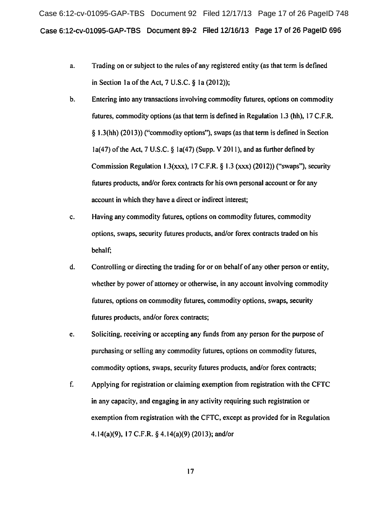Case 6:12-cv-01095-GAP-TBS Document 92 Filed 12/17/13 Page 17 of 26 PageID 748 Case 6:12-cv-01095-GAP-TBS Document 89-2 Filed 12116/13 Page 17 of 26 PageiD 696

- a. Trading on or subject to the rules of any registered entity (as that term is defined in Section 1a of the Act,  $7 \text{ U.S.C. }$   $6 \text{ 1a} (2012)$ ;
- b. Entering into any transactions involving commodity futures, options on commodity futures, commodity options (as that term is defined in Regulation 1.3 (hh), 17 C.F.R. § 1.3(hh) (20 13)) ("commodity options"), swaps (as that term is defined in Section  $1a(47)$  of the Act, 7 U.S.C. §  $1a(47)$  (Supp. V 2011), and as further defined by Commission Regulation 1.3(xxx), 17 C.F.R.  $\S$  1.3 (xxx) (2012)) ("swaps"), security futures products, and/or forex contracts for his own personal account or for any account in which they have a direct or indirect interest;
- c. Having any commodity futures, options on commodity futures, commodity options, swaps, security futures products, and/or forex contracts traded on his behalf;
- d. Controlling or directing the trading for or on behalf of any other person or entity, whether by power of attorney or otherwise, in any account involving commodity futures, options on commodity futures, commodity options, swaps, security futures products, and/or forex contracts;
- e. Soliciting, receiving or accepting any funds from any person for the purpose of purchasing or selling any commodity futures, options on commodity futures, commodity options, swaps, security futures products, and/or forex contracts;
- f. Applying for registration or claiming exemption from registration with the CFTC in any capacity, and engaging in any activity requiring such registration or exemption from registration with the CFTC, except as provided for in Regulation 4.14(a)(9), 17 C.F.R. § 4.14(a)(9) (2013); and/or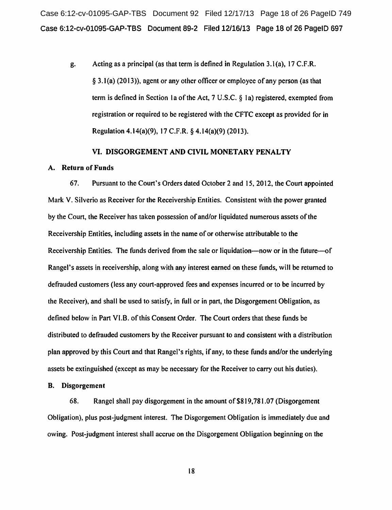Case 6:12-cv-01095-GAP-TBS Document 92 Filed 12/17/13 Page 18 of 26 PageID 749 Case 6:12-cv-01095-GAP-TBS Document 89-2 Filed 12/16/13 Page 18 of 26 PageiD 697

g. Acting as a principal (as that term is defined in Regulation 3.1 (a), 17 C.F .R.  $\S$  3.1(a) (2013)), agent or any other officer or employee of any person (as that term is defined in Section 1a of the Act,  $7 \text{ U.S.C. }$  § 1a) registered, exempted from registration or required to be registered with the CFTC except as provided for in Regulation 4.14(a)(9), 17 C.F.R. § 4.14(a)(9) (2013).

#### VI. DISGORGEMENT AND CIVIL MONETARY PENALTY

### A. Return of Funds

67. Pursuant to the Court's Orders dated October 2 and 15, 20 12, the Court appointed Mark V. Silverio as Receiver for the Receivership Entities. Consistent with the power granted by the Court, the Receiver has taken possession of and/or liquidated numerous assets ofthe Receivership Entities, including assets in the name of or otherwise attributable to the Receivership Entities. The funds derived from the sale or liquidation—now or in the future—of Rangel's assets in receivership, along with any interest earned on these funds, will be returned to defrauded customers (less any court-approved fees and expenses incurred or to be incurred by the Receiver), and shall be used to satisfy, in full or in part, the Disgorgement Obligation, as defined below in Part Vl.B. of this Consent Order. The Court orders that these funds be distributed to defrauded customers by the Receiver pursuant to and consistent with a distribution plan approved by this Court and that Rangel's rights, if any, to these funds and/or the underlying assets be extinguished (except as may be necessary for the Receiver to carry out his duties).

### B. Disgorgement

68. Rangel shall pay disgorgement in the amount of \$819,781.07 (Disgorgement Obligation), plus post-judgment interest. The Disgorgement Obligation is immediately due and owing. Post-judgment interest shall accrue on the Disgorgement Obligation beginning on the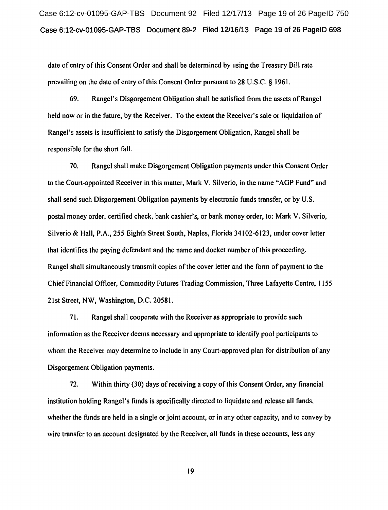Case 6:12-cv-01095-GAP-TBS Document 92 Filed 12/17/13 Page 19 of 26 PageID 750 Case 6:12-cv-01095-GAP-TBS Document 89-2 Filed 12/16/13 Page 19 of 26 PageiD 698

date of entry of this Consent Order and shall be determined by using the Treasury Bill rate prevailing on the date of entry of this Consent Order pursuant to 28 U.S.C. § 1961.

69. Rangel's Disgorgement Obligation shall be satisfied from the assets of Rangel held now or in the future, by the Receiver. To the extent the Receiver's sale or liquidation of Rangel's assets is insufficient to satisfy the Disgorgement Obligation, Rangel shall be responsible for the short fall.

70. Rangel shall make Disgorgement Obligation payments under this Consent Order to the Court-appointed Receiver in this matter, Mark V. Silverio, in the name "AGP Fund" and shall send such Disgorgement Obligation payments by electronic funds transfer, or by U.S. postal money order, certified check, bank cashier's, or bank money order, to: Mark V. Silverio, Silverio & Hall, P.A., 255 Eighth Street South, Naples, Florida 34102-6123, under cover letter that identifies the paying defendant and the name and docket number of this proceeding. Rangel shall simultaneously transmit copies of the cover letter and the form of payment to the Chief Financial Officer, Commodity Futures Trading Commission, Three Lafayette Centre, 1155 21st Street, NW, Washington, D.C. 20581.

71. Rangel shall cooperate with the Receiver as appropriate to provide such information as the Receiver deems necessary and appropriate to identify pool participants to whom the Receiver may determine to include in any Court-approved plan for distribution of any Disgorgement Obligation payments.

72. Within thirty (30) days of receiving a copy ofthis Consent Order, any financial institution holding Rangel's funds is specifically directed to liquidate and release all funds, whether the funds are held in a single or joint account, or in any other capacity, and to convey by wire transfer to an account designated by the Receiver, all funds in these accounts, less any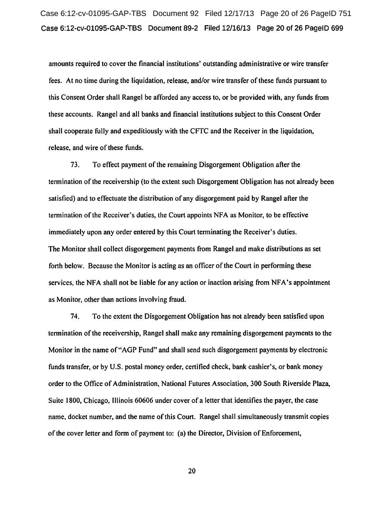amounts required to cover the financial institutions' outstanding administrative or wire transfer fees. At no time during the liquidation, release, and/or wire transfer of these funds pursuant to this Consent Order shall Rangel be afforded any access to, or be provided with, any funds from these accounts. Rangel and all banks and financial institutions subject to this Consent Order shall cooperate fully and expeditiously with the CFTC and the Receiver in the liquidation, release, and wire of these funds.

73. To effect payment of the remaining Disgorgement Obligation after the termination of the receivership (to the extent such Disgorgement Obligation has not already been satisfied) and to effectuate the distribution of any disgorgement paid by Rangel after the termination of the Receiver's duties, the Court appoints NFA as Monitor, to be effective immediately upon any order entered by this Court terminating the Receiver's duties. The Monitor shall collect disgorgement payments from Rangel and make distributions as set forth below. Because the Monitor is acting as an officer of the Court in performing these services, the NFA shall not be liable for any action or inaction arising from NFA's appointment as Monitor, other than actions involving fraud.

74. To the extent the Disgorgement Obligation has not already been satisfied upon termination of the receivership, Rangel shall make any remaining disgorgement payments to the Monitor in the name of"AGP Fund" and shall send such disgorgement payments by electronic funds transfer, or by U.S. postal money order, certified check, bank cashier's, or bank money order to the Office of Administration, National Futures Association, 300 South Riverside Plaza, Suite 1800, Chicago, Illinois 60606 under cover of a letter that identifies the payer, the case name, docket number, and the name of this Court. Rangel shall simultaneously transmit copies of the cover letter and form of payment to: (a) the Director, Division of Enforcement,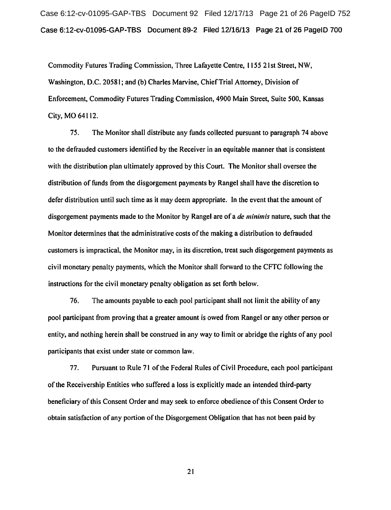Case 6:12-cv-01095-GAP-TBS Document 92 Filed 12/17/13 Page 21 of 26 PageID 752 Case 6:12-cv-01095-GAP-TBS Document 89-2 Filed 12/16/13 Page 21 of 26 PageiD 700

Commodity Futures Trading Commission, Three Lafayette Centre, 1155 21st Street, NW, Washington, D.C. 20581; and (b) Charles Marvine, ChiefTrial Attorney, Division of Enforcement, Commodity Futures Trading Commission, 4900 Main Street, Suite 500, Kansas City, MO 64112.

75. The Monitor shall distribute any funds collected pursuant to paragraph 74 above to the defrauded customers identified by the Receiver in an equitable manner that is consistent with the distribution plan ultimately approved by this Court. The Monitor shall oversee the distribution of funds from the disgorgement payments by Rangel shall have the discretion to defer distribution until such time as it may deem appropriate. In the event that the amount of disgorgement payments made to the Monitor by Rangel are of a *de minimis* nature, such that the Monitor determines that the administrative costs of the making a distribution to defrauded customers is impractical, the Monitor may, in its discretion, treat such disgorgement payments as civil monetary penalty payments, which the Monitor shall forward to the CFTC following the instructions for the civil monetary penalty obligation as set forth below.

76. The amounts payable to each pool participant shall not limit the ability of any pool participant from proving that a greater amount is owed from Rangel or any other person or entity, and nothing herein shall be construed in any way to limit or abridge the rights of any pool participants that exist under state or common law.

77. Pursuant to Rule 71 ofthe Federal Rules ofCivil Procedure, each pool participant of the Receivership Entities who suffered a loss is explicitly made an intended third-party beneficiary of this Consent Order and may seek to enforce obedience of this Consent Order to obtain satisfaction of any portion of the Disgorgement Obligation that has not been paid by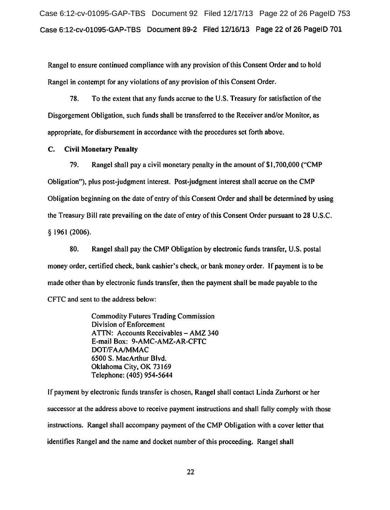Case 6:12-cv-01095-GAP-TBS Document 92 Filed 12/17/13 Page 22 of 26 PageID 753 Case 6:12-cv-01095-GAP-TBS Document 89-2 Filed 12/16/13 Page 22 of 26 PageiD 701

Rangel to ensure continued compliance with any provision of this Consent Order and to hold Rangel in contempt for any violations of any provision of this Consent Order.

78. To the extent that any funds accrue to the U.S. Treasury for satisfaction of the Disgorgement Obligation, such funds shall be transferred to the Receiver and/or Monitor, as appropriate, for disbursement in accordance with the procedures set forth above.

# C. Civil Monetary Penalty

79. Rangel shall pay a civil monetary penalty in the amount of \$1,700,000 ("CMP Obligation"), plus post-judgment interest. Post-judgment interest shall accrue on the CMP Obligation beginning on the date of entry of this Consent Order and shall be determined by using the Treasury Bill rate prevailing on the date of entry of this Consent Order pursuant to 28 U.S.C. § 1961 (2006).

80. Rangel shall pay the CMP Obligation by electronic funds transfer, U.S. postal money order, certified check, bank cashier's check, or bank money order. If payment is to be made other than by electronic funds transfer, then the payment shall be made payable to the CFTC and sent to the address below:

> Commodity Futures Trading Commission Division of Enforcement ATTN: Accounts Receivables- AMZ 340 E-mail Box: 9-AMC-AMZ-AR-CFTC DOT/FAA/MMAC 6500 S. MacArthur Blvd. Oklahoma City, OK 73169 Telephone: (405) 954-5644

If payment by electronic funds transfer is chosen, Rangel shall contact Linda Zurhorst or her successor at the address above to receive payment instructions and shall fully comply with those instructions. Rangel shall accompany payment of the CMP Obligation with a cover letter that identifies Rangel and the name and docket number of this proceeding. Rangel shall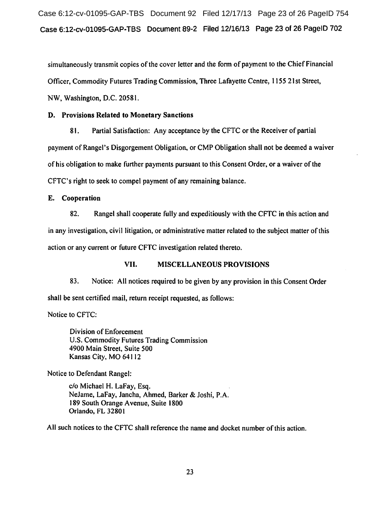Case 6:12-cv-01095-GAP-TBS Document 92 Filed 12/17/13 Page 23 of 26 PageID 754 Case 6:12-cv-01095-GAP-TBS Document 89-2 Filed 12/16/13 Page 23 of 26 PageiD 702

simultaneously transmit copies of the cover letter and the form of payment to the Chief Financial Officer, Commodity Futures Trading Commission, Three Lafayette Centre, 1155 21st Street, NW, Washington, D.C. 20581.

# D. Provisions Related to Monetary Sanctions

81. Partial Satisfaction: Any acceptance by the CFTC or the Receiver of partial payment of Rangel's Disgorgement Obligation, or CMP Obligation shall not be deemed a waiver of his obligation to make further payments pursuant to this Consent Order, or a waiver of the CFTC's right to seek to compel payment of any remaining balance.

E. Cooperation

82. Rangel shall cooperate fully and expeditiously with the CFTC in this action and in any investigation, civil litigation, or administrative matter related to the subject matter ofthis action or any current or future CFTC investigation related thereto.

# VII. MISCELLANEOUS PROVISIONS

83. Notice: All notices required to be given by any provision in this Consent Order shall be sent certified mail, return receipt requested, as follows:

Notice to CFTC:

Division of Enforcement U.S. Commodity Futures Trading Commission 4900 Main Street, Suite 500 Kansas City, MO 64112

Notice to Defendant Rangel:

c/o Michael H. LaFay, Esq. NeJame, LaFay, Jancha, Ahmed, Barker & Joshi, P.A. 189 South Orange A venue, Suite 1800 Orlando, FL 32801

All such notices to the CFTC shall reference the name and docket number of this action.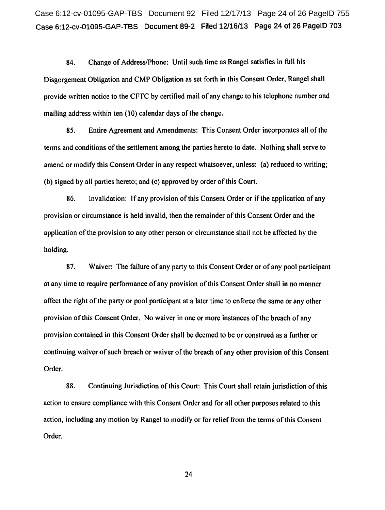Case 6:12-cv-01095-GAP-TBS Document 92 Filed 12/17/13 Page 24 of 26 PageID 755 Case 6:12-cv-01095-GAP-TBS Document 89-2 Filed 12/16/13 Page 24 of 26 PageiD 703

84. Change of Address/Phone: Until such time as Rangel satisfies in full his Disgorgement Obligation and CMP Obligation as set forth in this Consent Order, Rangel shall provide written notice to the CFTC by certified mail of any change to his telephone number and mailing address within ten (10) calendar days of the change.

85. Entire Agreement and Amendments: This Consent Order incorporates all of the terms and conditions of the settlement among the parties hereto to date. Nothing shall serve to amend or modify this Consent Order in any respect whatsoever, unless: (a) reduced to writing; (b) signed by all parties hereto; and (c) approved by order of this Court.

86. Invalidation: If any provision of this Consent Order or if the application of any provision or circumstance is held invalid, then the remainder of this Consent Order and the application of the provision to any other person or circumstance shall not be affected by the holding.

87. Waiver: The failure of any party to this Consent Order or of any pool participant at any time to require performance of any provision ofthis Consent Order shall in no manner affect the right of the party or pool participant at a later time to enforce the same or any other provision of this Consent Order. No waiver in one or more instances of the breach of any provision contained in this Consent Order shall be deemed to be or construed as a further or continuing waiver of such breach or waiver of the breach of any other provision of this Consent Order.

88. Continuing Jurisdiction of this Court: This Court shall retain jurisdiction of this action to ensure compliance with this Consent Order and for all other purposes related to this action, including any motion by Rangel to modify or for relief from the terms of this Consent Order.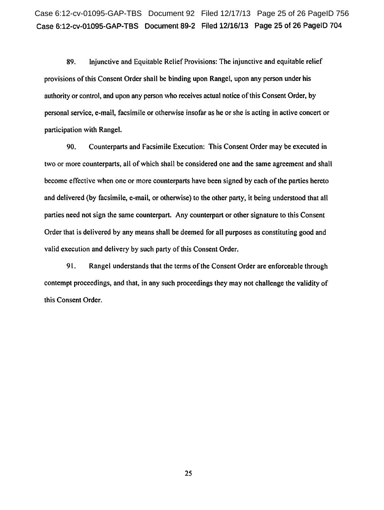Case 6:12-cv-01095-GAP-TBS Document 92 Filed 12/17/13 Page 25 of 26 PageID 756 Case 6:12-cv-01095-GAP-TBS Document 89-2 Filed 12/16/13 Page 25 of 26 PagelD 704

89. Injunctive and Equitable Relief Provisions: The injunctive and equitable relief provisions of this Consent Order shall be binding upon Rangel, upon any person under his authority or control, and upon any person who receives actual notice of this Consent Order, by personal service, e-mail, facsimile or otherwise insofar as he or she is acting in active concert or participation with Rangel.

90. Counterparts and Facsimile Execution: This Consent Order may be executed in two or more counterparts, all of which shall be considered one and the same agreement and shall become effective when one or more counterparts have been signed by each of the parties hereto and delivered (by facsimile, e-mail, or otherwise) to the other party, it being understood that all parties need not sign the same counterpart. Any counterpart or other signature to this Consent Order that is delivered by any means shall be deemed for all purposes as constituting good and valid execution and delivery by such party of this Consent Order.

91. Rangel understands that the terms of the Consent Order are enforceable through contempt proceedings, and that, in any such proceedings they may not challenge the validity of this Consent Order.